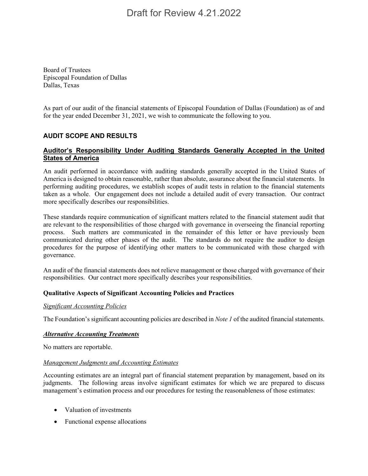Board of Trustees Episcopal Foundation of Dallas Dallas, Texas

As part of our audit of the financial statements of Episcopal Foundation of Dallas (Foundation) as of and for the year ended December 31, 2021, we wish to communicate the following to you.

## **AUDIT SCOPE AND RESULTS**

## **Auditor's Responsibility Under Auditing Standards Generally Accepted in the United States of America**

An audit performed in accordance with auditing standards generally accepted in the United States of America is designed to obtain reasonable, rather than absolute, assurance about the financial statements. In performing auditing procedures, we establish scopes of audit tests in relation to the financial statements taken as a whole. Our engagement does not include a detailed audit of every transaction. Our contract more specifically describes our responsibilities.

These standards require communication of significant matters related to the financial statement audit that are relevant to the responsibilities of those charged with governance in overseeing the financial reporting process. Such matters are communicated in the remainder of this letter or have previously been communicated during other phases of the audit. The standards do not require the auditor to design procedures for the purpose of identifying other matters to be communicated with those charged with governance.

An audit of the financial statements does not relieve management or those charged with governance of their responsibilities. Our contract more specifically describes your responsibilities.

### **Qualitative Aspects of Significant Accounting Policies and Practices**

### *Significant Accounting Policies*

The Foundation's significant accounting policies are described in *Note 1* of the audited financial statements.

### *Alternative Accounting Treatments*

No matters are reportable.

### *Management Judgments and Accounting Estimates*

Accounting estimates are an integral part of financial statement preparation by management, based on its judgments. The following areas involve significant estimates for which we are prepared to discuss management's estimation process and our procedures for testing the reasonableness of those estimates:

- Valuation of investments
- Functional expense allocations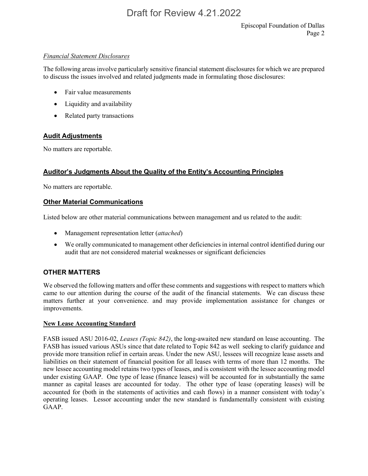### *Financial Statement Disclosures*

The following areas involve particularly sensitive financial statement disclosures for which we are prepared to discuss the issues involved and related judgments made in formulating those disclosures:

- Fair value measurements
- Liquidity and availability
- Related party transactions

## **Audit Adjustments**

No matters are reportable.

## **Auditor's Judgments About the Quality of the Entity's Accounting Principles**

No matters are reportable.

## **Other Material Communications**

Listed below are other material communications between management and us related to the audit:

- Management representation letter (*attached*)
- We orally communicated to management other deficiencies in internal control identified during our audit that are not considered material weaknesses or significant deficiencies

## **OTHER MATTERS**

We observed the following matters and offer these comments and suggestions with respect to matters which came to our attention during the course of the audit of the financial statements. We can discuss these matters further at your convenience. and may provide implementation assistance for changes or improvements.

### **New Lease Accounting Standard**

FASB issued ASU 2016-02, *Leases (Topic 842)*, the long-awaited new standard on lease accounting. The FASB has issued various ASUs since that date related to Topic 842 as well seeking to clarify guidance and provide more transition relief in certain areas. Under the new ASU, lessees will recognize lease assets and liabilities on their statement of financial position for all leases with terms of more than 12 months. The new lessee accounting model retains two types of leases, and is consistent with the lessee accounting model under existing GAAP. One type of lease (finance leases) will be accounted for in substantially the same manner as capital leases are accounted for today. The other type of lease (operating leases) will be accounted for (both in the statements of activities and cash flows) in a manner consistent with today's operating leases. Lessor accounting under the new standard is fundamentally consistent with existing GAAP.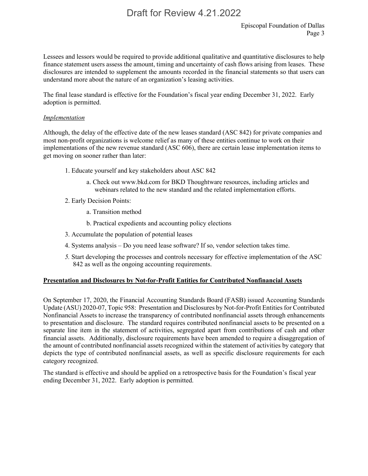Lessees and lessors would be required to provide additional qualitative and quantitative disclosures to help finance statement users assess the amount, timing and uncertainty of cash flows arising from leases. These disclosures are intended to supplement the amounts recorded in the financial statements so that users can understand more about the nature of an organization's leasing activities.

The final lease standard is effective for the Foundation's fiscal year ending December 31, 2022. Early adoption is permitted.

#### *Implementation*

Although, the delay of the effective date of the new leases standard (ASC 842) for private companies and most non-profit organizations is welcome relief as many of these entities continue to work on their implementations of the new revenue standard (ASC 606), there are certain lease implementation items to get moving on sooner rather than later:

- 1. Educate yourself and key stakeholders about ASC 842
	- a. Check out www.bkd.com for BKD Thoughtware resources, including articles and webinars related to the new standard and the related implementation efforts.
- 2. Early Decision Points:
	- a. Transition method
	- b. Practical expedients and accounting policy elections
- 3. Accumulate the population of potential leases
- 4. Systems analysis Do you need lease software? If so, vendor selection takes time.
- *5.* Start developing the processes and controls necessary for effective implementation of the ASC 842 as well as the ongoing accounting requirements.

### **Presentation and Disclosures by Not-for-Profit Entities for Contributed Nonfinancial Assets**

On September 17, 2020, the Financial Accounting Standards Board (FASB) issued Accounting Standards Update (ASU) 2020-07, Topic 958: Presentation and Disclosures by Not-for-Profit Entities for Contributed Nonfinancial Assets to increase the transparency of contributed nonfinancial assets through enhancements to presentation and disclosure. The standard requires contributed nonfinancial assets to be presented on a separate line item in the statement of activities, segregated apart from contributions of cash and other financial assets. Additionally, disclosure requirements have been amended to require a disaggregation of the amount of contributed nonfinancial assets recognized within the statement of activities by category that depicts the type of contributed nonfinancial assets, as well as specific disclosure requirements for each category recognized.

The standard is effective and should be applied on a retrospective basis for the Foundation's fiscal year ending December 31, 2022. Early adoption is permitted.